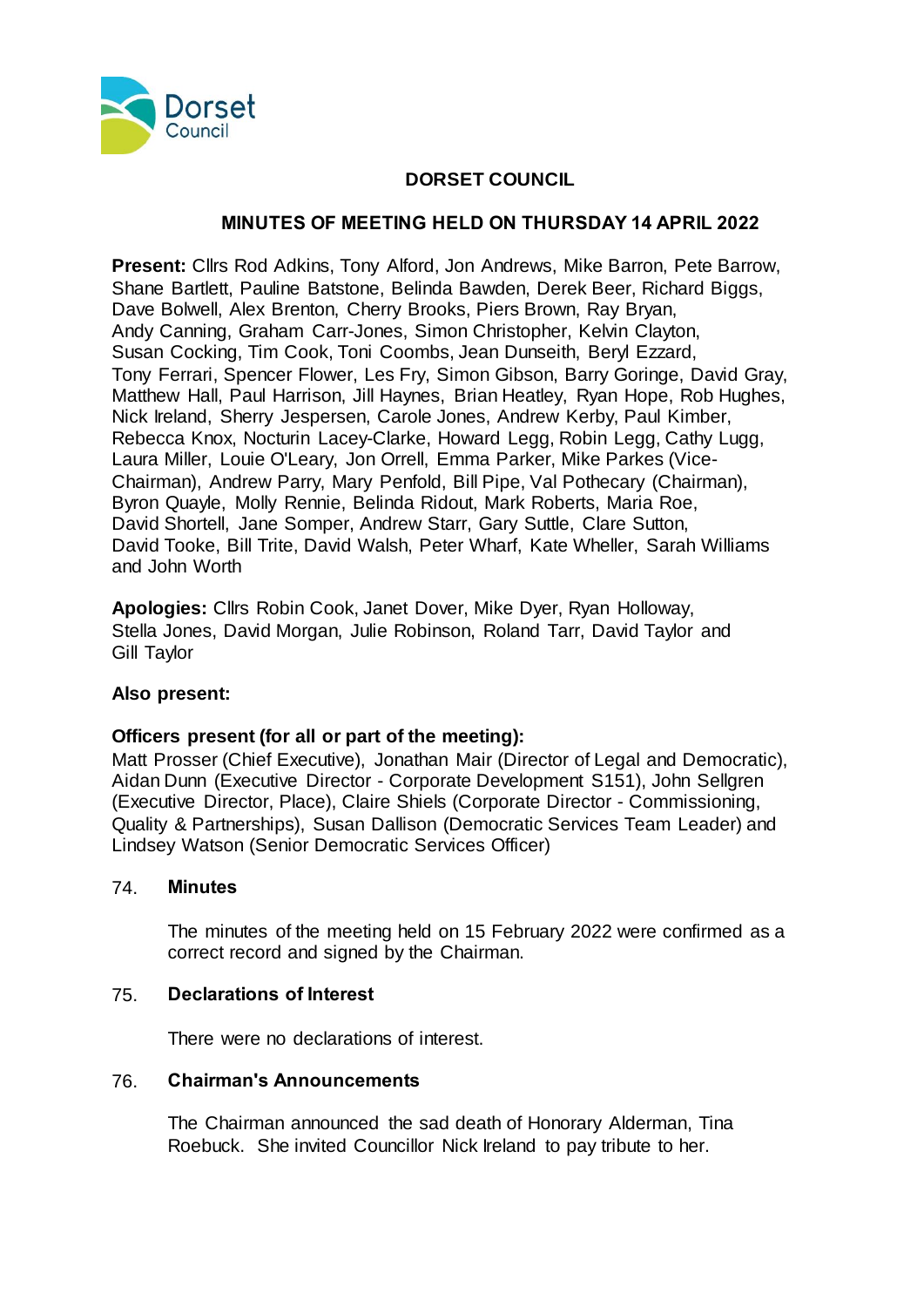

# **DORSET COUNCIL**

# **MINUTES OF MEETING HELD ON THURSDAY 14 APRIL 2022**

**Present:** Cllrs Rod Adkins, Tony Alford, Jon Andrews, Mike Barron, Pete Barrow, Shane Bartlett, Pauline Batstone, Belinda Bawden, Derek Beer, Richard Biggs, Dave Bolwell, Alex Brenton, Cherry Brooks, Piers Brown, Ray Bryan, Andy Canning, Graham Carr-Jones, Simon Christopher, Kelvin Clayton, Susan Cocking, Tim Cook, Toni Coombs, Jean Dunseith, Beryl Ezzard, Tony Ferrari, Spencer Flower, Les Fry, Simon Gibson, Barry Goringe, David Gray, Matthew Hall, Paul Harrison, Jill Haynes, Brian Heatley, Ryan Hope, Rob Hughes, Nick Ireland, Sherry Jespersen, Carole Jones, Andrew Kerby, Paul Kimber, Rebecca Knox, Nocturin Lacey-Clarke, Howard Legg, Robin Legg, Cathy Lugg, Laura Miller, Louie O'Leary, Jon Orrell, Emma Parker, Mike Parkes (Vice-Chairman), Andrew Parry, Mary Penfold, Bill Pipe, Val Pothecary (Chairman), Byron Quayle, Molly Rennie, Belinda Ridout, Mark Roberts, Maria Roe, David Shortell, Jane Somper, Andrew Starr, Gary Suttle, Clare Sutton, David Tooke, Bill Trite, David Walsh, Peter Wharf, Kate Wheller, Sarah Williams and John Worth

**Apologies:** Cllrs Robin Cook, Janet Dover, Mike Dyer, Ryan Holloway, Stella Jones, David Morgan, Julie Robinson, Roland Tarr, David Taylor and Gill Taylor

# **Also present:**

#### **Officers present (for all or part of the meeting):**

Matt Prosser (Chief Executive), Jonathan Mair (Director of Legal and Democratic), Aidan Dunn (Executive Director - Corporate Development S151), John Sellgren (Executive Director, Place), Claire Shiels (Corporate Director - Commissioning, Quality & Partnerships), Susan Dallison (Democratic Services Team Leader) and Lindsey Watson (Senior Democratic Services Officer)

#### 74. **Minutes**

The minutes of the meeting held on 15 February 2022 were confirmed as a correct record and signed by the Chairman.

#### 75. **Declarations of Interest**

There were no declarations of interest.

#### 76. **Chairman's Announcements**

The Chairman announced the sad death of Honorary Alderman, Tina Roebuck. She invited Councillor Nick Ireland to pay tribute to her.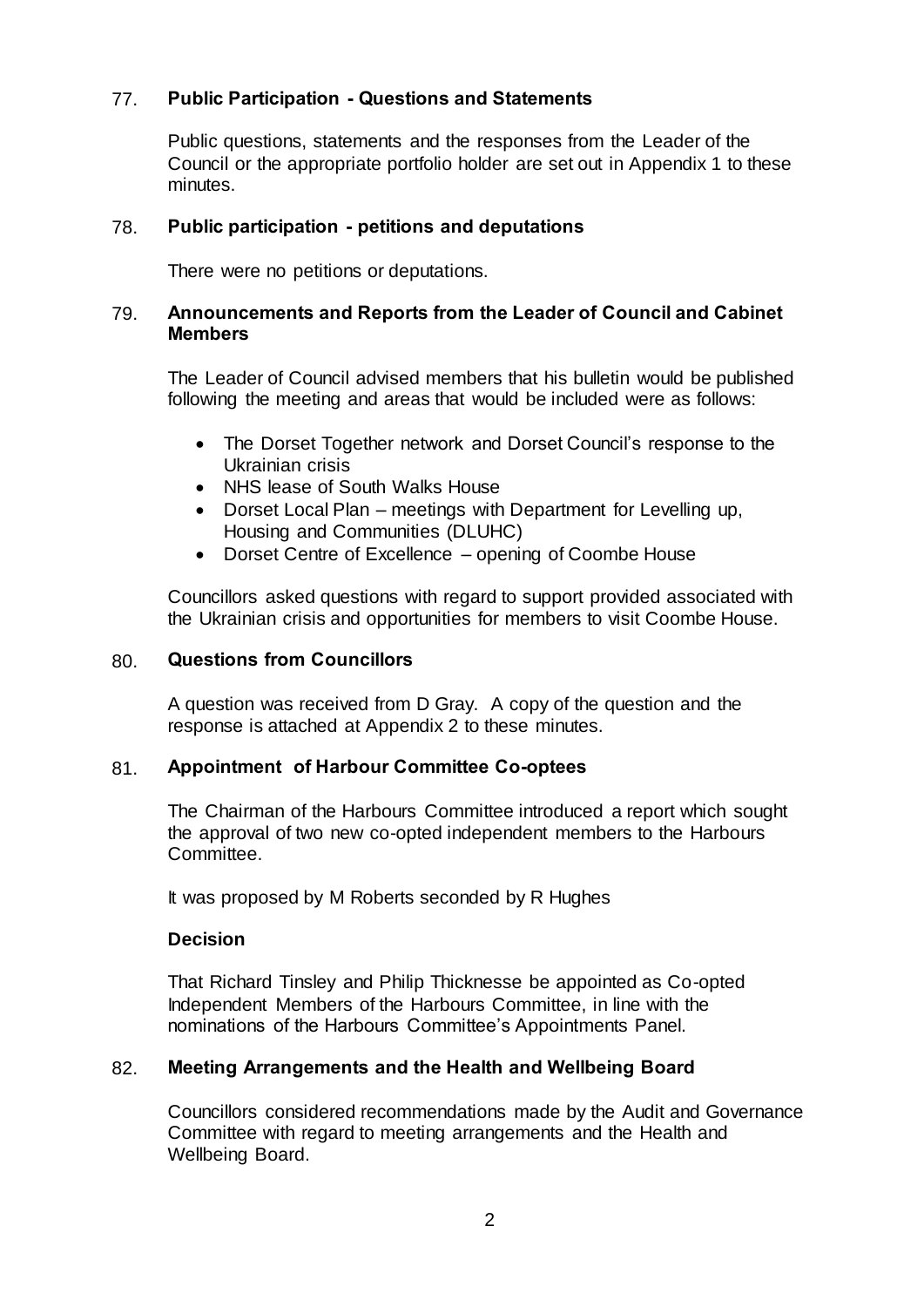# 77. **Public Participation - Questions and Statements**

Public questions, statements and the responses from the Leader of the Council or the appropriate portfolio holder are set out in Appendix 1 to these minutes.

### 78. **Public participation - petitions and deputations**

There were no petitions or deputations.

### 79. **Announcements and Reports from the Leader of Council and Cabinet Members**

The Leader of Council advised members that his bulletin would be published following the meeting and areas that would be included were as follows:

- The Dorset Together network and Dorset Council's response to the Ukrainian crisis
- NHS lease of South Walks House
- Dorset Local Plan meetings with Department for Levelling up, Housing and Communities (DLUHC)
- Dorset Centre of Excellence opening of Coombe House

Councillors asked questions with regard to support provided associated with the Ukrainian crisis and opportunities for members to visit Coombe House.

### 80. **Questions from Councillors**

A question was received from D Gray. A copy of the question and the response is attached at Appendix 2 to these minutes.

# 81. **Appointment of Harbour Committee Co-optees**

The Chairman of the Harbours Committee introduced a report which sought the approval of two new co-opted independent members to the Harbours Committee.

It was proposed by M Roberts seconded by R Hughes

# **Decision**

That Richard Tinsley and Philip Thicknesse be appointed as Co-opted Independent Members of the Harbours Committee, in line with the nominations of the Harbours Committee's Appointments Panel.

# 82. **Meeting Arrangements and the Health and Wellbeing Board**

Councillors considered recommendations made by the Audit and Governance Committee with regard to meeting arrangements and the Health and Wellbeing Board.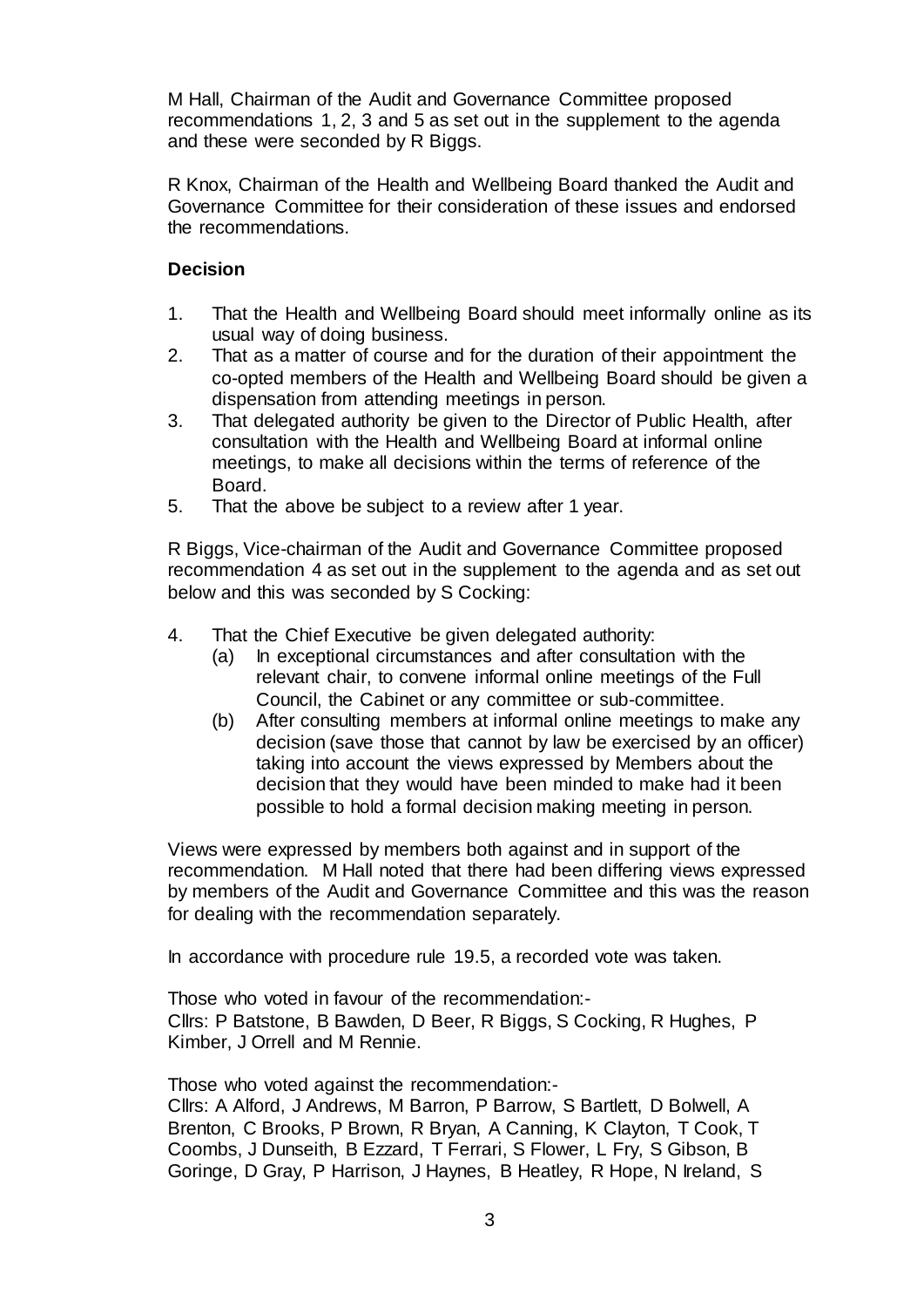M Hall, Chairman of the Audit and Governance Committee proposed recommendations 1, 2, 3 and 5 as set out in the supplement to the agenda and these were seconded by R Biggs.

R Knox, Chairman of the Health and Wellbeing Board thanked the Audit and Governance Committee for their consideration of these issues and endorsed the recommendations.

# **Decision**

- 1. That the Health and Wellbeing Board should meet informally online as its usual way of doing business.
- 2. That as a matter of course and for the duration of their appointment the co-opted members of the Health and Wellbeing Board should be given a dispensation from attending meetings in person.
- 3. That delegated authority be given to the Director of Public Health, after consultation with the Health and Wellbeing Board at informal online meetings, to make all decisions within the terms of reference of the Board.
- 5. That the above be subject to a review after 1 year.

R Biggs, Vice-chairman of the Audit and Governance Committee proposed recommendation 4 as set out in the supplement to the agenda and as set out below and this was seconded by S Cocking:

- 4. That the Chief Executive be given delegated authority:
	- (a) In exceptional circumstances and after consultation with the relevant chair, to convene informal online meetings of the Full Council, the Cabinet or any committee or sub-committee.
	- (b) After consulting members at informal online meetings to make any decision (save those that cannot by law be exercised by an officer) taking into account the views expressed by Members about the decision that they would have been minded to make had it been possible to hold a formal decision making meeting in person.

Views were expressed by members both against and in support of the recommendation. M Hall noted that there had been differing views expressed by members of the Audit and Governance Committee and this was the reason for dealing with the recommendation separately.

In accordance with procedure rule 19.5, a recorded vote was taken.

Those who voted in favour of the recommendation:- Cllrs: P Batstone, B Bawden, D Beer, R Biggs, S Cocking, R Hughes, P Kimber, J Orrell and M Rennie.

Those who voted against the recommendation:-

Cllrs: A Alford, J Andrews, M Barron, P Barrow, S Bartlett, D Bolwell, A Brenton, C Brooks, P Brown, R Bryan, A Canning, K Clayton, T Cook, T Coombs, J Dunseith, B Ezzard, T Ferrari, S Flower, L Fry, S Gibson, B Goringe, D Gray, P Harrison, J Haynes, B Heatley, R Hope, N Ireland, S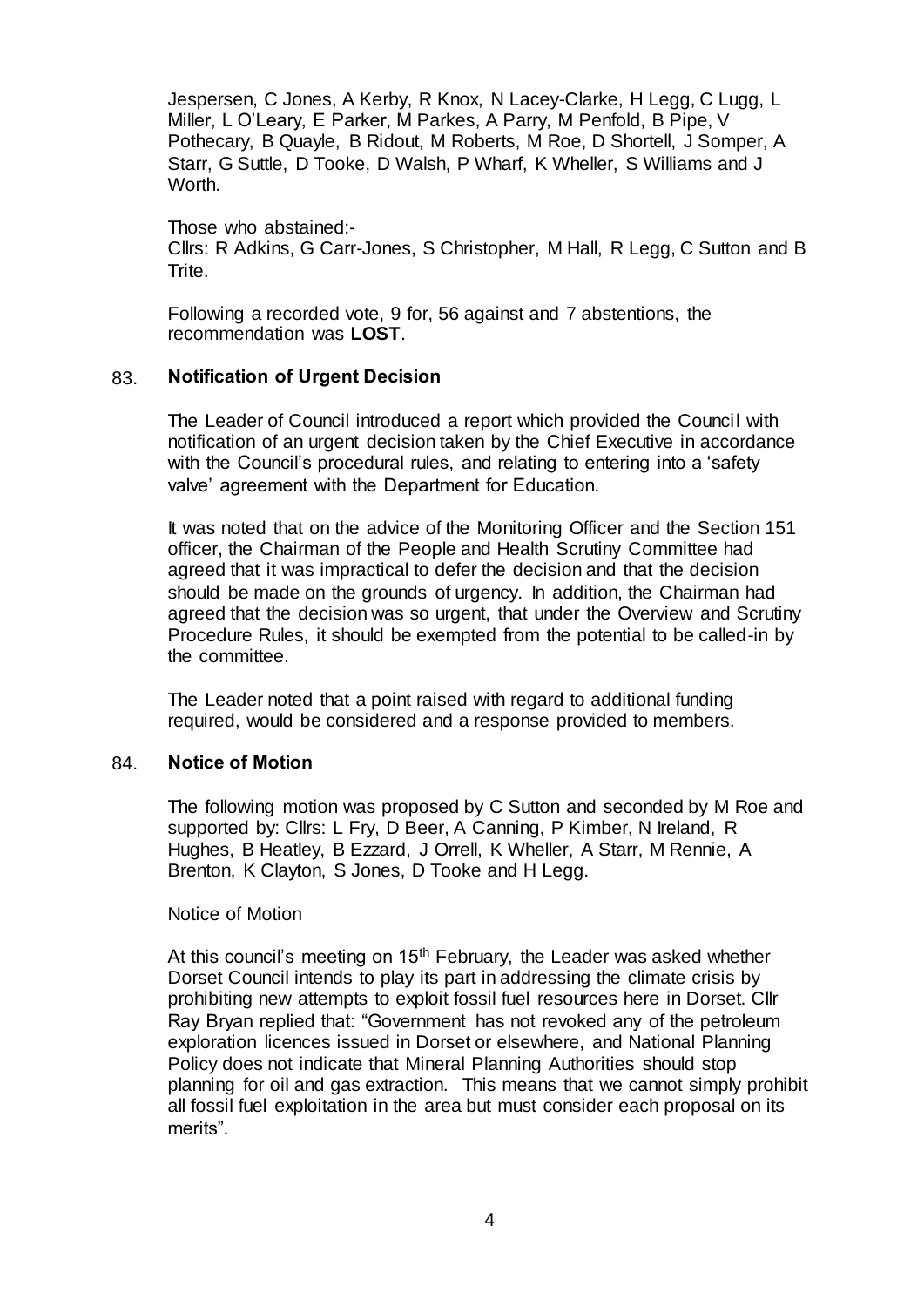Jespersen, C Jones, A Kerby, R Knox, N Lacey-Clarke, H Legg, C Lugg, L Miller, L O'Leary, E Parker, M Parkes, A Parry, M Penfold, B Pipe, V Pothecary, B Quayle, B Ridout, M Roberts, M Roe, D Shortell, J Somper, A Starr, G Suttle, D Tooke, D Walsh, P Wharf, K Wheller, S Williams and J Worth.

Those who abstained:- Cllrs: R Adkins, G Carr-Jones, S Christopher, M Hall, R Legg, C Sutton and B Trite.

Following a recorded vote, 9 for, 56 against and 7 abstentions, the recommendation was **LOST**.

### 83. **Notification of Urgent Decision**

The Leader of Council introduced a report which provided the Council with notification of an urgent decision taken by the Chief Executive in accordance with the Council's procedural rules, and relating to entering into a 'safety valve' agreement with the Department for Education.

It was noted that on the advice of the Monitoring Officer and the Section 151 officer, the Chairman of the People and Health Scrutiny Committee had agreed that it was impractical to defer the decision and that the decision should be made on the grounds of urgency. In addition, the Chairman had agreed that the decision was so urgent, that under the Overview and Scrutiny Procedure Rules, it should be exempted from the potential to be called-in by the committee.

The Leader noted that a point raised with regard to additional funding required, would be considered and a response provided to members.

#### 84. **Notice of Motion**

The following motion was proposed by C Sutton and seconded by M Roe and supported by: Cllrs: L Fry, D Beer, A Canning, P Kimber, N Ireland, R Hughes, B Heatley, B Ezzard, J Orrell, K Wheller, A Starr, M Rennie, A Brenton, K Clayton, S Jones, D Tooke and H Legg.

#### Notice of Motion

At this council's meeting on  $15<sup>th</sup>$  February, the Leader was asked whether Dorset Council intends to play its part in addressing the climate crisis by prohibiting new attempts to exploit fossil fuel resources here in Dorset. Cllr Ray Bryan replied that: "Government has not revoked any of the petroleum exploration licences issued in Dorset or elsewhere, and National Planning Policy does not indicate that Mineral Planning Authorities should stop planning for oil and gas extraction. This means that we cannot simply prohibit all fossil fuel exploitation in the area but must consider each proposal on its merits".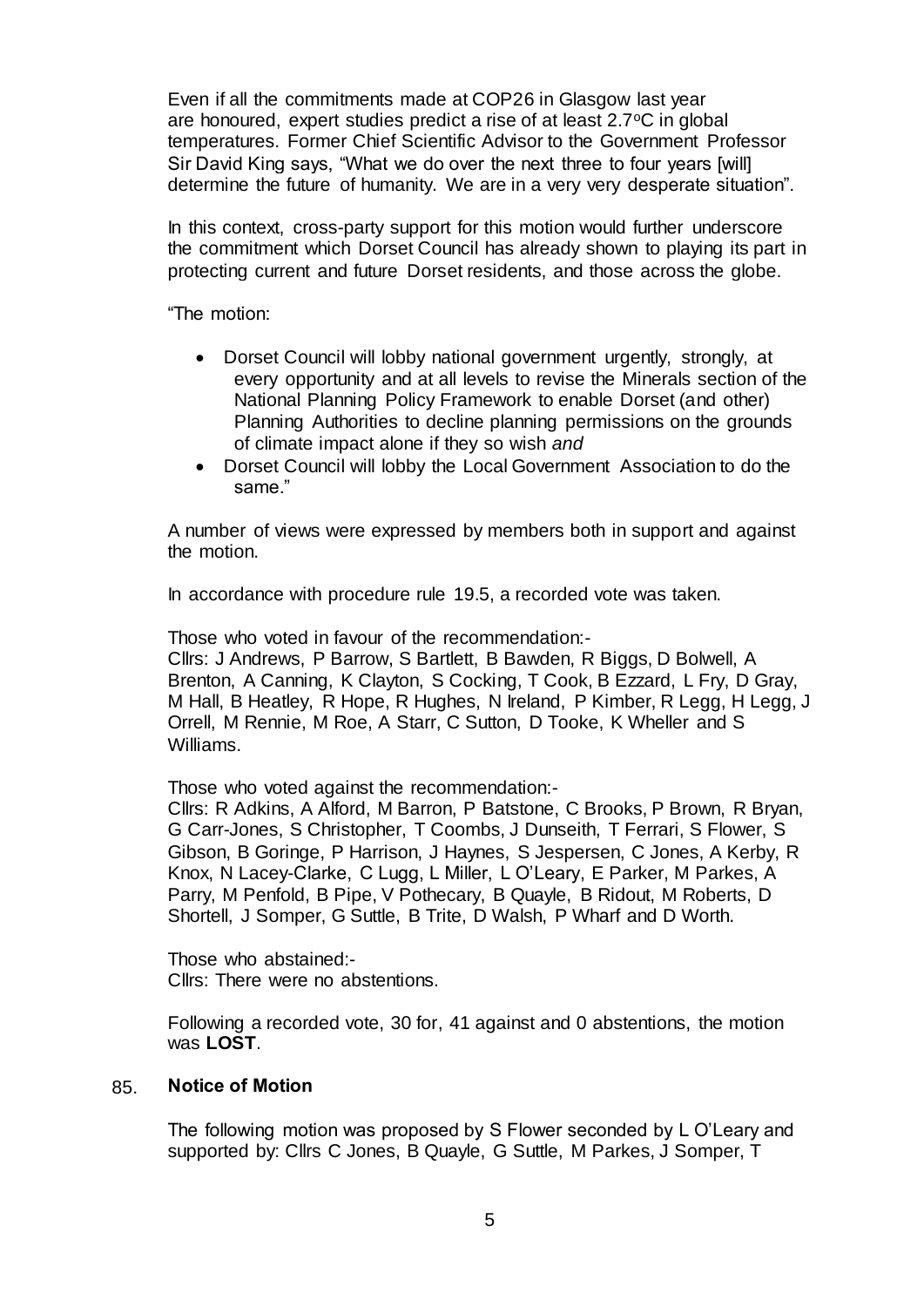Even if all the commitments made at COP26 in Glasgow last year are honoured, expert studies predict a rise of at least  $2.7^{\circ}$ C in global temperatures. Former Chief Scientific Advisor to the Government Professor Sir David King says, "What we do over the next three to four years [will] determine the future of humanity. We are in a very very desperate situation".

In this context, cross-party support for this motion would further underscore the commitment which Dorset Council has already shown to playing its part in protecting current and future Dorset residents, and those across the globe.

"The motion:

- Dorset Council will lobby national government urgently, strongly, at every opportunity and at all levels to revise the Minerals section of the National Planning Policy Framework to enable Dorset (and other) Planning Authorities to decline planning permissions on the grounds of climate impact alone if they so wish *and*
- Dorset Council will lobby the Local Government Association to do the same."

A number of views were expressed by members both in support and against the motion.

In accordance with procedure rule 19.5, a recorded vote was taken.

Those who voted in favour of the recommendation:-

Cllrs: J Andrews, P Barrow, S Bartlett, B Bawden, R Biggs, D Bolwell, A Brenton, A Canning, K Clayton, S Cocking, T Cook, B Ezzard, L Fry, D Gray, M Hall, B Heatley, R Hope, R Hughes, N Ireland, P Kimber, R Legg, H Legg, J Orrell, M Rennie, M Roe, A Starr, C Sutton, D Tooke, K Wheller and S Williams.

Those who voted against the recommendation:-

Cllrs: R Adkins, A Alford, M Barron, P Batstone, C Brooks, P Brown, R Bryan, G Carr-Jones, S Christopher, T Coombs, J Dunseith, T Ferrari, S Flower, S Gibson, B Goringe, P Harrison, J Haynes, S Jespersen, C Jones, A Kerby, R Knox, N Lacey-Clarke, C Lugg, L Miller, L O'Leary, E Parker, M Parkes, A Parry, M Penfold, B Pipe, V Pothecary, B Quayle, B Ridout, M Roberts, D Shortell, J Somper, G Suttle, B Trite, D Walsh, P Wharf and D Worth.

Those who abstained:- Cllrs: There were no abstentions.

Following a recorded vote, 30 for, 41 against and 0 abstentions, the motion was **LOST**.

# 85. **Notice of Motion**

The following motion was proposed by S Flower seconded by L O'Leary and supported by: Cllrs C Jones, B Quayle, G Suttle, M Parkes, J Somper, T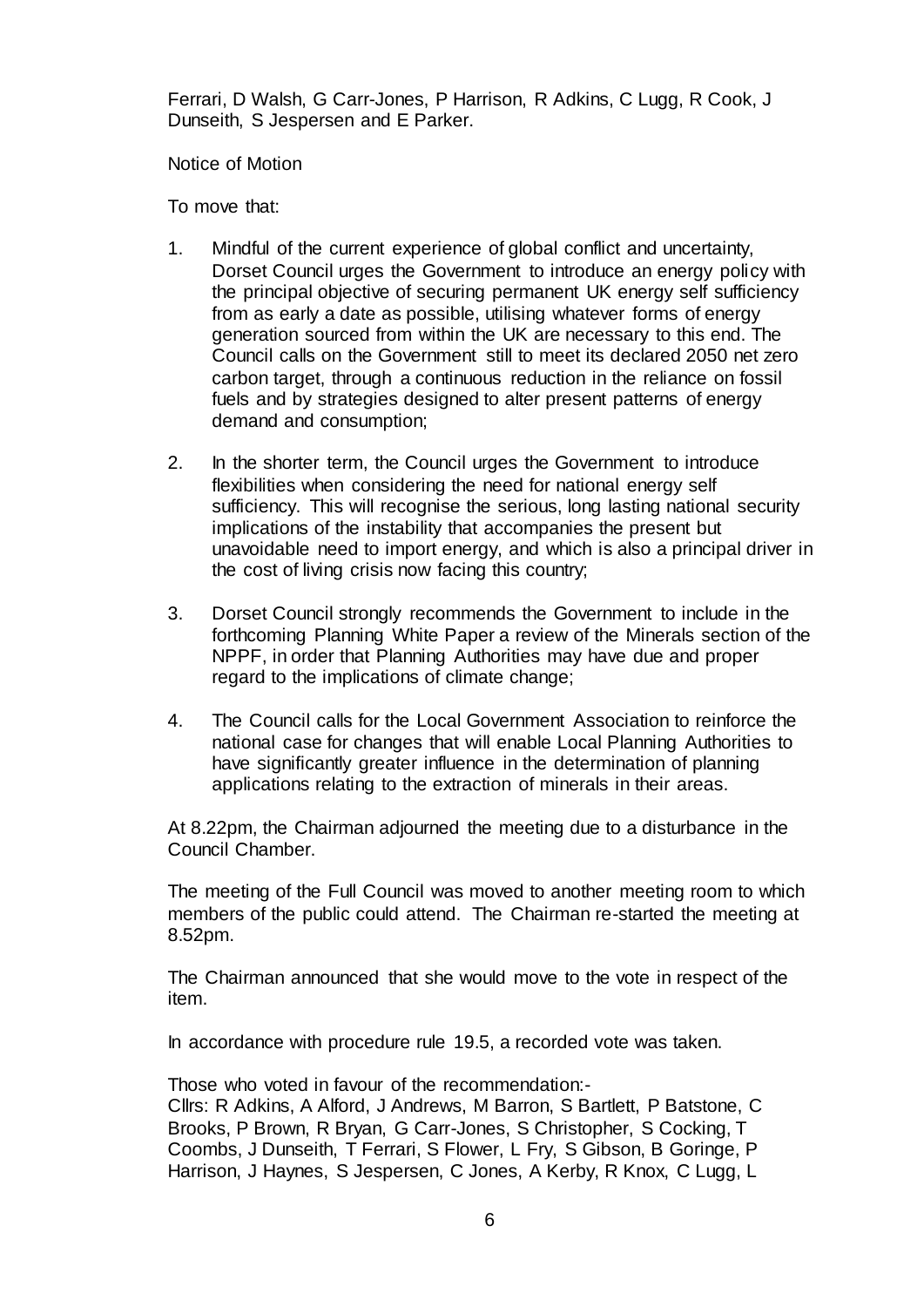Ferrari, D Walsh, G Carr-Jones, P Harrison, R Adkins, C Lugg, R Cook, J Dunseith, S Jespersen and E Parker.

Notice of Motion

To move that:

- 1. Mindful of the current experience of global conflict and uncertainty, Dorset Council urges the Government to introduce an energy policy with the principal objective of securing permanent UK energy self sufficiency from as early a date as possible, utilising whatever forms of energy generation sourced from within the UK are necessary to this end. The Council calls on the Government still to meet its declared 2050 net zero carbon target, through a continuous reduction in the reliance on fossil fuels and by strategies designed to alter present patterns of energy demand and consumption;
- 2. In the shorter term, the Council urges the Government to introduce flexibilities when considering the need for national energy self sufficiency. This will recognise the serious, long lasting national security implications of the instability that accompanies the present but unavoidable need to import energy, and which is also a principal driver in the cost of living crisis now facing this country;
- 3. Dorset Council strongly recommends the Government to include in the forthcoming Planning White Paper a review of the Minerals section of the NPPF, in order that Planning Authorities may have due and proper regard to the implications of climate change;
- 4. The Council calls for the Local Government Association to reinforce the national case for changes that will enable Local Planning Authorities to have significantly greater influence in the determination of planning applications relating to the extraction of minerals in their areas.

At 8.22pm, the Chairman adjourned the meeting due to a disturbance in the Council Chamber.

The meeting of the Full Council was moved to another meeting room to which members of the public could attend. The Chairman re-started the meeting at 8.52pm.

The Chairman announced that she would move to the vote in respect of the item.

In accordance with procedure rule 19.5, a recorded vote was taken.

Those who voted in favour of the recommendation:-

Cllrs: R Adkins, A Alford, J Andrews, M Barron, S Bartlett, P Batstone, C Brooks, P Brown, R Bryan, G Carr-Jones, S Christopher, S Cocking, T Coombs, J Dunseith, T Ferrari, S Flower, L Fry, S Gibson, B Goringe, P Harrison, J Haynes, S Jespersen, C Jones, A Kerby, R Knox, C Lugg, L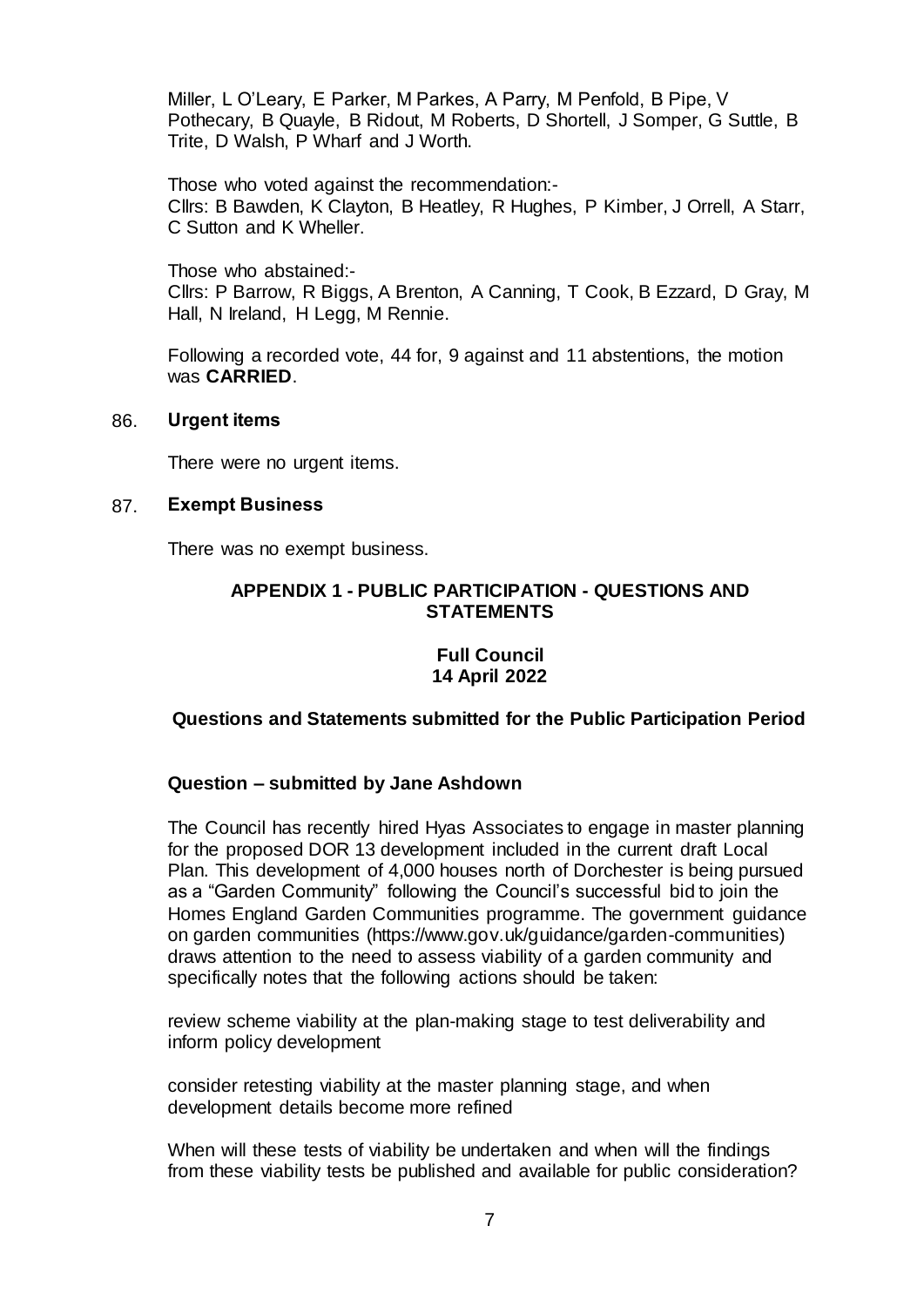Miller, L O'Leary, E Parker, M Parkes, A Parry, M Penfold, B Pipe, V Pothecary, B Quayle, B Ridout, M Roberts, D Shortell, J Somper, G Suttle, B Trite, D Walsh, P Wharf and J Worth.

Those who voted against the recommendation:- Cllrs: B Bawden, K Clayton, B Heatley, R Hughes, P Kimber, J Orrell, A Starr, C Sutton and K Wheller.

Those who abstained:- Cllrs: P Barrow, R Biggs, A Brenton, A Canning, T Cook, B Ezzard, D Gray, M Hall, N Ireland, H Legg, M Rennie.

Following a recorded vote, 44 for, 9 against and 11 abstentions, the motion was **CARRIED**.

#### 86. **Urgent items**

There were no urgent items.

#### 87. **Exempt Business**

There was no exempt business.

#### **APPENDIX 1 - PUBLIC PARTICIPATION - QUESTIONS AND STATEMENTS**

### **Full Council 14 April 2022**

#### **Questions and Statements submitted for the Public Participation Period**

#### **Question – submitted by Jane Ashdown**

The Council has recently hired Hyas Associates to engage in master planning for the proposed DOR 13 development included in the current draft Local Plan. This development of 4,000 houses north of Dorchester is being pursued as a "Garden Community" following the Council's successful bid to join the Homes England Garden Communities programme. The government guidance on garden communities (https://www.gov.uk/guidance/garden-communities) draws attention to the need to assess viability of a garden community and specifically notes that the following actions should be taken:

review scheme viability at the plan-making stage to test deliverability and inform policy development

consider retesting viability at the master planning stage, and when development details become more refined

When will these tests of viability be undertaken and when will the findings from these viability tests be published and available for public consideration?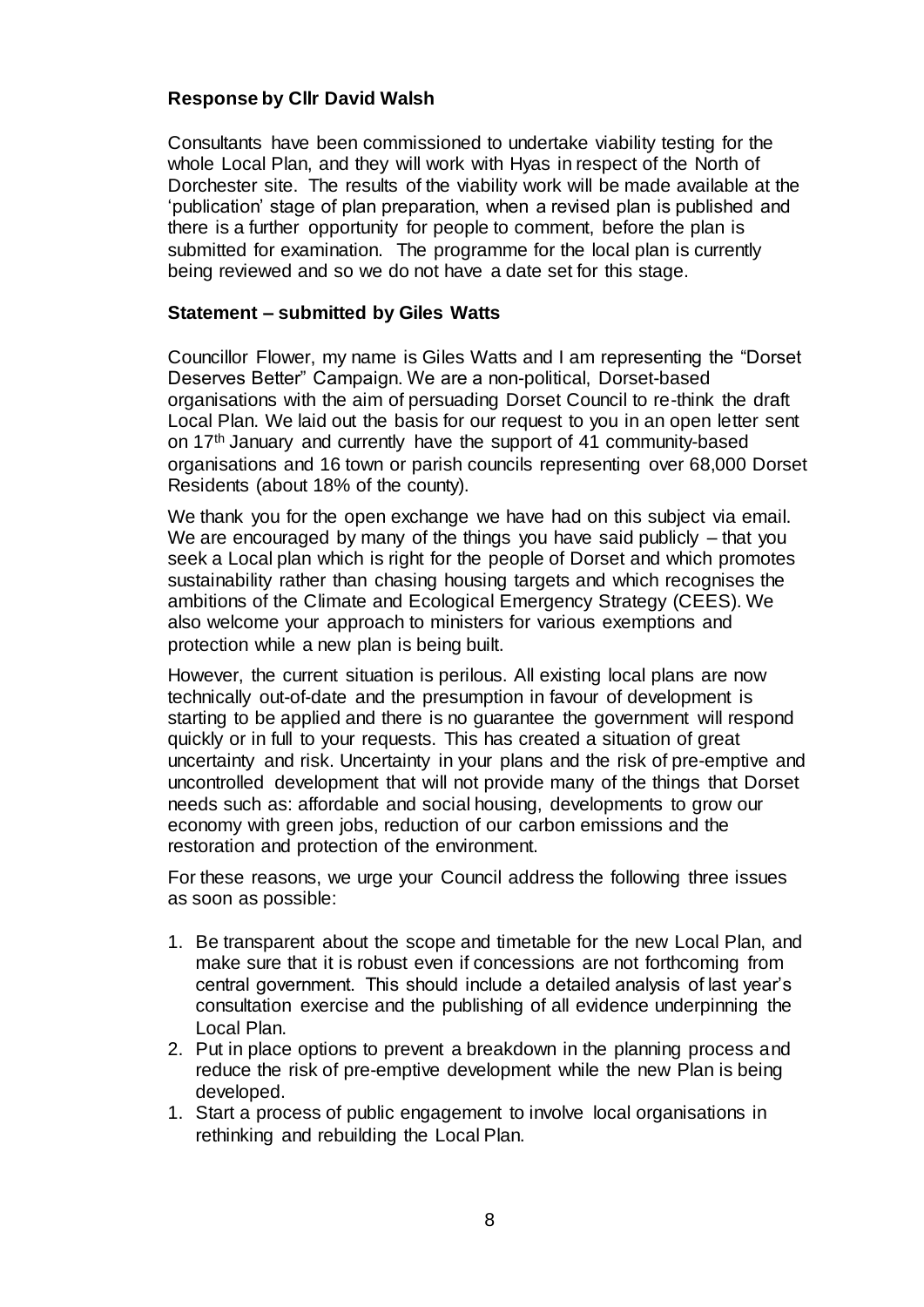# **Response by Cllr David Walsh**

Consultants have been commissioned to undertake viability testing for the whole Local Plan, and they will work with Hyas in respect of the North of Dorchester site. The results of the viability work will be made available at the 'publication' stage of plan preparation, when a revised plan is published and there is a further opportunity for people to comment, before the plan is submitted for examination. The programme for the local plan is currently being reviewed and so we do not have a date set for this stage.

# **Statement – submitted by Giles Watts**

Councillor Flower, my name is Giles Watts and I am representing the "Dorset Deserves Better" Campaign. We are a non-political, Dorset-based organisations with the aim of persuading Dorset Council to re-think the draft Local Plan. We laid out the basis for our request to you in an open letter sent on 17th January and currently have the support of 41 community-based organisations and 16 town or parish councils representing over 68,000 Dorset Residents (about 18% of the county).

We thank you for the open exchange we have had on this subject via email. We are encouraged by many of the things you have said publicly – that you seek a Local plan which is right for the people of Dorset and which promotes sustainability rather than chasing housing targets and which recognises the ambitions of the Climate and Ecological Emergency Strategy (CEES). We also welcome your approach to ministers for various exemptions and protection while a new plan is being built.

However, the current situation is perilous. All existing local plans are now technically out-of-date and the presumption in favour of development is starting to be applied and there is no guarantee the government will respond quickly or in full to your requests. This has created a situation of great uncertainty and risk. Uncertainty in your plans and the risk of pre-emptive and uncontrolled development that will not provide many of the things that Dorset needs such as: affordable and social housing, developments to grow our economy with green jobs, reduction of our carbon emissions and the restoration and protection of the environment.

For these reasons, we urge your Council address the following three issues as soon as possible:

- 1. Be transparent about the scope and timetable for the new Local Plan, and make sure that it is robust even if concessions are not forthcoming from central government. This should include a detailed analysis of last year's consultation exercise and the publishing of all evidence underpinning the Local Plan.
- 2. Put in place options to prevent a breakdown in the planning process and reduce the risk of pre-emptive development while the new Plan is being developed.
- 1. Start a process of public engagement to involve local organisations in rethinking and rebuilding the Local Plan.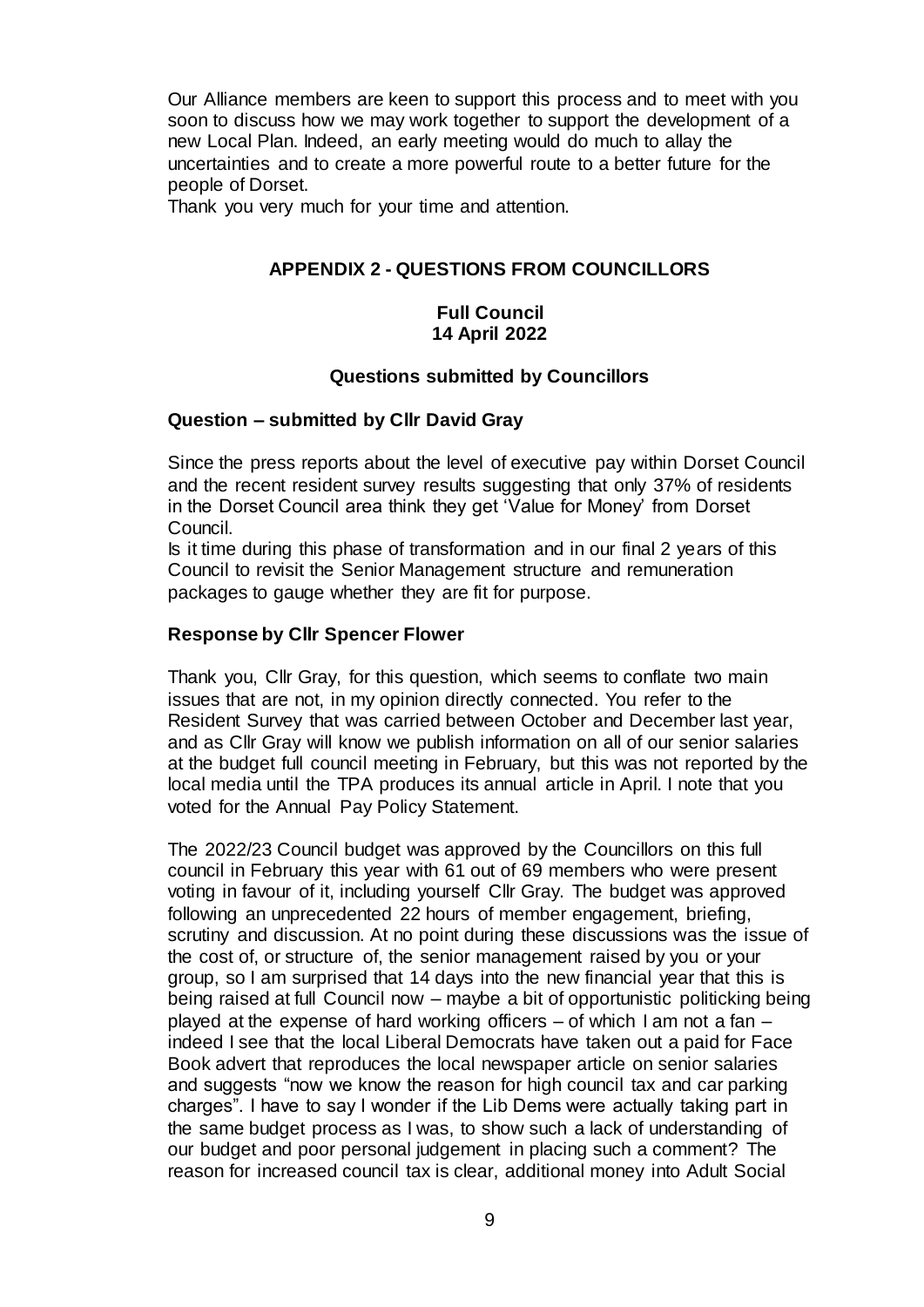Our Alliance members are keen to support this process and to meet with you soon to discuss how we may work together to support the development of a new Local Plan. Indeed, an early meeting would do much to allay the uncertainties and to create a more powerful route to a better future for the people of Dorset.

Thank you very much for your time and attention.

# **APPENDIX 2 - QUESTIONS FROM COUNCILLORS**

### **Full Council 14 April 2022**

# **Questions submitted by Councillors**

# **Question – submitted by Cllr David Gray**

Since the press reports about the level of executive pay within Dorset Council and the recent resident survey results suggesting that only 37% of residents in the Dorset Council area think they get 'Value for Money' from Dorset Council.

Is it time during this phase of transformation and in our final 2 years of this Council to revisit the Senior Management structure and remuneration packages to gauge whether they are fit for purpose.

# **Response by Cllr Spencer Flower**

Thank you, Cllr Gray, for this question, which seems to conflate two main issues that are not, in my opinion directly connected. You refer to the Resident Survey that was carried between October and December last year, and as Cllr Gray will know we publish information on all of our senior salaries at the budget full council meeting in February, but this was not reported by the local media until the TPA produces its annual article in April. I note that you voted for the Annual Pay Policy Statement.

The 2022/23 Council budget was approved by the Councillors on this full council in February this year with 61 out of 69 members who were present voting in favour of it, including yourself Cllr Gray. The budget was approved following an unprecedented 22 hours of member engagement, briefing, scrutiny and discussion. At no point during these discussions was the issue of the cost of, or structure of, the senior management raised by you or your group, so I am surprised that 14 days into the new financial year that this is being raised at full Council now – maybe a bit of opportunistic politicking being played at the expense of hard working officers – of which I am not a fan – indeed I see that the local Liberal Democrats have taken out a paid for Face Book advert that reproduces the local newspaper article on senior salaries and suggests "now we know the reason for high council tax and car parking charges". I have to say I wonder if the Lib Dems were actually taking part in the same budget process as I was, to show such a lack of understanding of our budget and poor personal judgement in placing such a comment? The reason for increased council tax is clear, additional money into Adult Social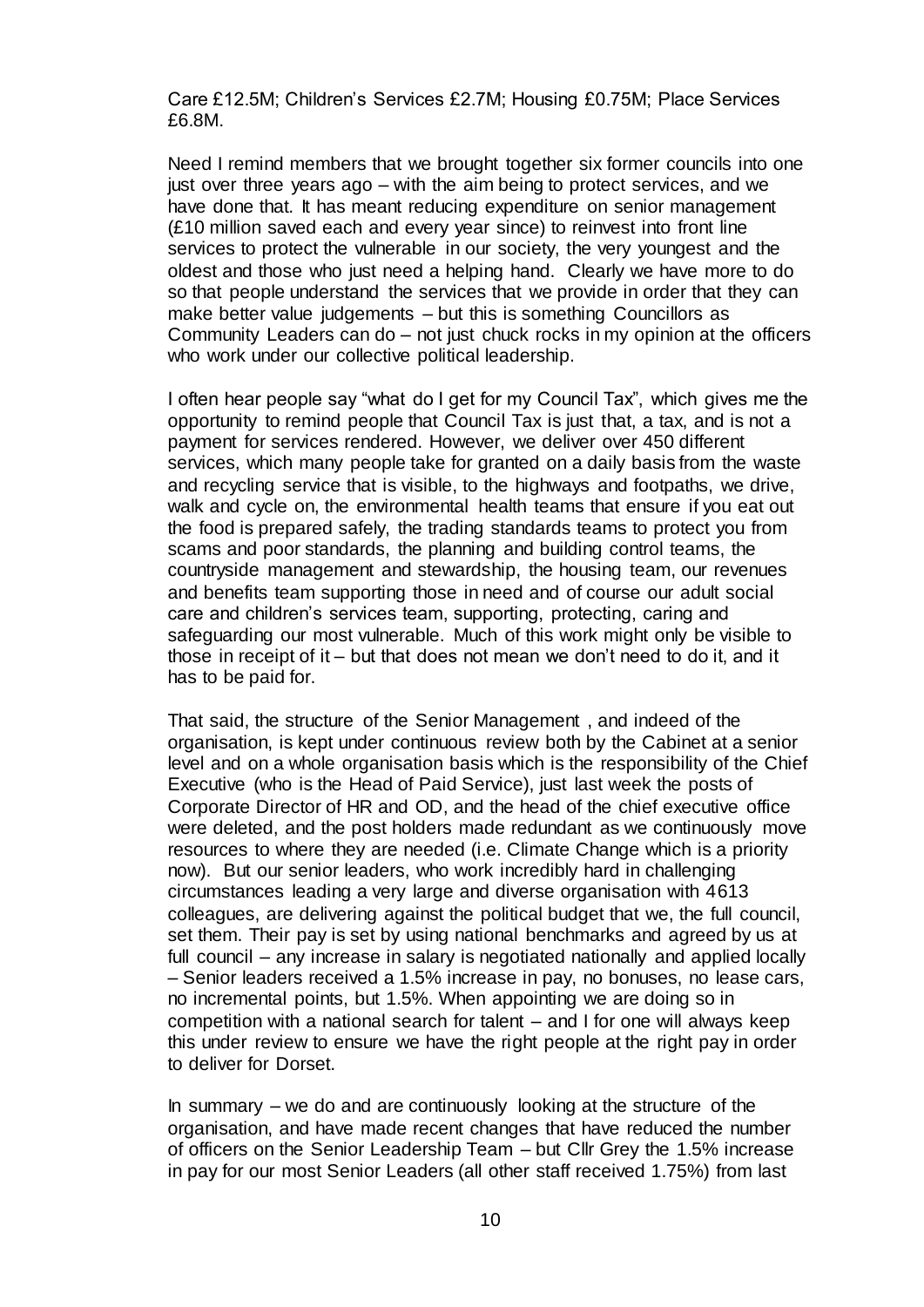Care £12.5M; Children's Services £2.7M; Housing £0.75M; Place Services £6.8M.

Need I remind members that we brought together six former councils into one just over three years ago – with the aim being to protect services, and we have done that. It has meant reducing expenditure on senior management (£10 million saved each and every year since) to reinvest into front line services to protect the vulnerable in our society, the very youngest and the oldest and those who just need a helping hand. Clearly we have more to do so that people understand the services that we provide in order that they can make better value judgements – but this is something Councillors as Community Leaders can do – not just chuck rocks in my opinion at the officers who work under our collective political leadership.

I often hear people say "what do I get for my Council Tax", which gives me the opportunity to remind people that Council Tax is just that, a tax, and is not a payment for services rendered. However, we deliver over 450 different services, which many people take for granted on a daily basis from the waste and recycling service that is visible, to the highways and footpaths, we drive, walk and cycle on, the environmental health teams that ensure if you eat out the food is prepared safely, the trading standards teams to protect you from scams and poor standards, the planning and building control teams, the countryside management and stewardship, the housing team, our revenues and benefits team supporting those in need and of course our adult social care and children's services team, supporting, protecting, caring and safeguarding our most vulnerable. Much of this work might only be visible to those in receipt of it – but that does not mean we don't need to do it, and it has to be paid for.

That said, the structure of the Senior Management , and indeed of the organisation, is kept under continuous review both by the Cabinet at a senior level and on a whole organisation basis which is the responsibility of the Chief Executive (who is the Head of Paid Service), just last week the posts of Corporate Director of HR and OD, and the head of the chief executive office were deleted, and the post holders made redundant as we continuously move resources to where they are needed (i.e. Climate Change which is a priority now). But our senior leaders, who work incredibly hard in challenging circumstances leading a very large and diverse organisation with 4613 colleagues, are delivering against the political budget that we, the full council, set them. Their pay is set by using national benchmarks and agreed by us at full council – any increase in salary is negotiated nationally and applied locally – Senior leaders received a 1.5% increase in pay, no bonuses, no lease cars, no incremental points, but 1.5%. When appointing we are doing so in competition with a national search for talent – and I for one will always keep this under review to ensure we have the right people at the right pay in order to deliver for Dorset.

In summary – we do and are continuously looking at the structure of the organisation, and have made recent changes that have reduced the number of officers on the Senior Leadership Team – but Cllr Grey the 1.5% increase in pay for our most Senior Leaders (all other staff received 1.75%) from last